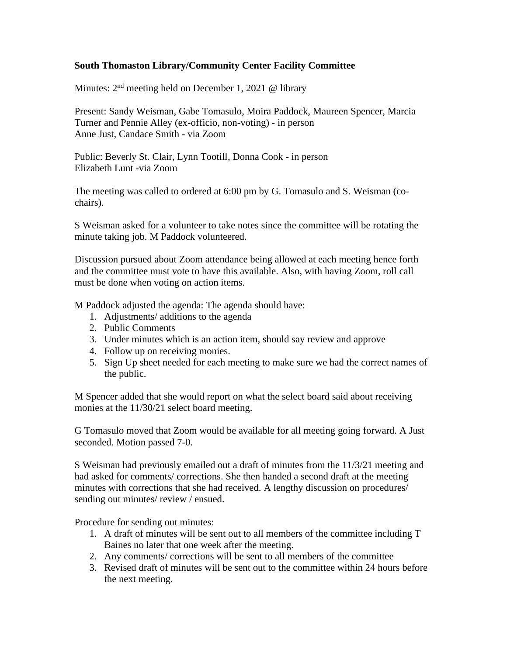## **South Thomaston Library/Community Center Facility Committee**

Minutes:  $2<sup>nd</sup>$  meeting held on December 1, 2021 @ library

Present: Sandy Weisman, Gabe Tomasulo, Moira Paddock, Maureen Spencer, Marcia Turner and Pennie Alley (ex-officio, non-voting) - in person Anne Just, Candace Smith - via Zoom

Public: Beverly St. Clair, Lynn Tootill, Donna Cook - in person Elizabeth Lunt -via Zoom

The meeting was called to ordered at 6:00 pm by G. Tomasulo and S. Weisman (cochairs).

S Weisman asked for a volunteer to take notes since the committee will be rotating the minute taking job. M Paddock volunteered.

Discussion pursued about Zoom attendance being allowed at each meeting hence forth and the committee must vote to have this available. Also, with having Zoom, roll call must be done when voting on action items.

M Paddock adjusted the agenda: The agenda should have:

- 1. Adjustments/ additions to the agenda
- 2. Public Comments
- 3. Under minutes which is an action item, should say review and approve
- 4. Follow up on receiving monies.
- 5. Sign Up sheet needed for each meeting to make sure we had the correct names of the public.

M Spencer added that she would report on what the select board said about receiving monies at the 11/30/21 select board meeting.

G Tomasulo moved that Zoom would be available for all meeting going forward. A Just seconded. Motion passed 7-0.

S Weisman had previously emailed out a draft of minutes from the 11/3/21 meeting and had asked for comments/ corrections. She then handed a second draft at the meeting minutes with corrections that she had received. A lengthy discussion on procedures/ sending out minutes/ review / ensued.

Procedure for sending out minutes:

- 1. A draft of minutes will be sent out to all members of the committee including T Baines no later that one week after the meeting.
- 2. Any comments/ corrections will be sent to all members of the committee
- 3. Revised draft of minutes will be sent out to the committee within 24 hours before the next meeting.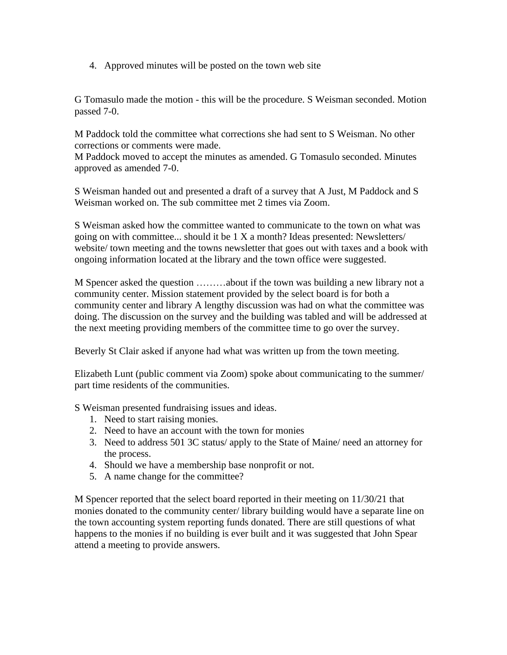4. Approved minutes will be posted on the town web site

G Tomasulo made the motion - this will be the procedure. S Weisman seconded. Motion passed 7-0.

M Paddock told the committee what corrections she had sent to S Weisman. No other corrections or comments were made.

M Paddock moved to accept the minutes as amended. G Tomasulo seconded. Minutes approved as amended 7-0.

S Weisman handed out and presented a draft of a survey that A Just, M Paddock and S Weisman worked on. The sub committee met 2 times via Zoom.

S Weisman asked how the committee wanted to communicate to the town on what was going on with committee... should it be 1 X a month? Ideas presented: Newsletters/ website/ town meeting and the towns newsletter that goes out with taxes and a book with ongoing information located at the library and the town office were suggested.

M Spencer asked the question ………about if the town was building a new library not a community center. Mission statement provided by the select board is for both a community center and library A lengthy discussion was had on what the committee was doing. The discussion on the survey and the building was tabled and will be addressed at the next meeting providing members of the committee time to go over the survey.

Beverly St Clair asked if anyone had what was written up from the town meeting.

Elizabeth Lunt (public comment via Zoom) spoke about communicating to the summer/ part time residents of the communities.

S Weisman presented fundraising issues and ideas.

- 1. Need to start raising monies.
- 2. Need to have an account with the town for monies
- 3. Need to address 501 3C status/ apply to the State of Maine/ need an attorney for the process.
- 4. Should we have a membership base nonprofit or not.
- 5. A name change for the committee?

M Spencer reported that the select board reported in their meeting on 11/30/21 that monies donated to the community center/ library building would have a separate line on the town accounting system reporting funds donated. There are still questions of what happens to the monies if no building is ever built and it was suggested that John Spear attend a meeting to provide answers.